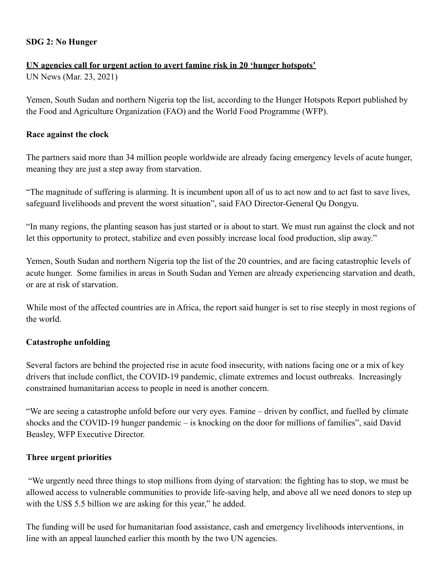# **SDG 2: No Hunger**

## **UN agencies call for urgent action to avert famine risk in 20 'hunger hotspots'**

UN News (Mar. 23, 2021)

Yemen, South Sudan and northern Nigeria top the list, according to the Hunger Hotspots Report published by the Food and Agriculture Organization (FAO) and the World Food Programme (WFP).

### **Race against the clock**

The partners said more than 34 million people worldwide are already facing emergency levels of acute hunger, meaning they are just a step away from starvation.

"The magnitude of suffering is alarming. It is incumbent upon all of us to act now and to act fast to save lives, safeguard livelihoods and prevent the worst situation", said FAO Director-General Qu Dongyu.

"In many regions, the planting season has just started or is about to start. We must run against the clock and not let this opportunity to protect, stabilize and even possibly increase local food production, slip away."

Yemen, South Sudan and northern Nigeria top the list of the 20 countries, and are facing catastrophic levels of acute hunger. Some families in areas in South Sudan and Yemen are already experiencing starvation and death, or are at risk of starvation.

While most of the affected countries are in Africa, the report said hunger is set to rise steeply in most regions of the world.

## **Catastrophe unfolding**

Several factors are behind the projected rise in acute food insecurity, with nations facing one or a mix of key drivers that include conflict, the COVID-19 pandemic, climate extremes and locust outbreaks. Increasingly constrained humanitarian access to people in need is another concern.

"We are seeing a catastrophe unfold before our very eyes. Famine – driven by conflict, and fuelled by climate shocks and the COVID-19 hunger pandemic – is knocking on the door for millions of families", said David Beasley, WFP Executive Director.

## **Three urgent priorities**

"We urgently need three things to stop millions from dying of starvation: the fighting has to stop, we must be allowed access to vulnerable communities to provide life-saving help, and above all we need donors to step up with the US\$ 5.5 billion we are asking for this year," he added.

The funding will be used for humanitarian food assistance, cash and emergency livelihoods interventions, in line with an appeal launched earlier this month by the two UN agencies.